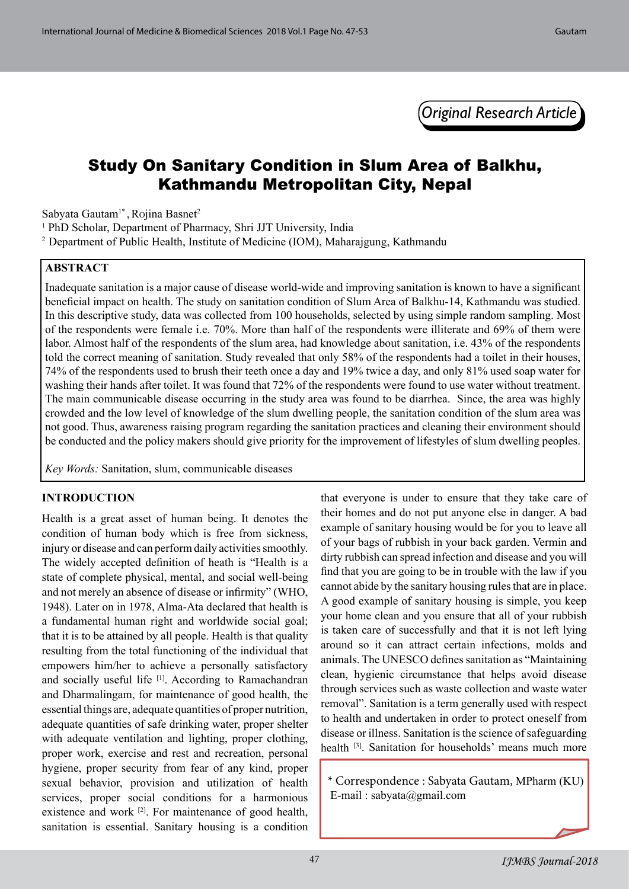*Original Research Article*

# Study On Sanitary Condition in Slum Area of Balkhu, Kathmandu Metropolitan City, Nepal

Sabyata Gautam<sup>1\*</sup>, Rojina Basnet<sup>2</sup>

<sup>1</sup> PhD Scholar, Department of Pharmacy, Shri JJT University, India

2 Department of Public Health, Institute of Medicine (IOM), Maharajgung, Kathmandu

#### **ABSTRACT**

Inadequate sanitation is a major cause of disease world-wide and improving sanitation is known to have a significant beneficial impact on health. The study on sanitation condition of Slum Area of Balkhu-14, Kathmandu was studied. In this descriptive study, data was collected from 100 households, selected by using simple random sampling. Most of the respondents were female i.e. 70%. More than half of the respondents were illiterate and 69% of them were labor. Almost half of the respondents of the slum area, had knowledge about sanitation, i.e. 43% of the respondents told the correct meaning of sanitation. Study revealed that only 58% of the respondents had a toilet in their houses, 74% of the respondents used to brush their teeth once a day and 19% twice a day, and only 81% used soap water for washing their hands after toilet. It was found that 72% of the respondents were found to use water without treatment. The main communicable disease occurring in the study area was found to be diarrhea. Since, the area was highly crowded and the low level of knowledge of the slum dwelling people, the sanitation condition of the slum area was not good. Thus, awareness raising program regarding the sanitation practices and cleaning their environment should be conducted and the policy makers should give priority for the improvement of lifestyles of slum dwelling peoples.

*Key Words:* Sanitation, slum, communicable diseases

#### **INTRODUCTION**

Health is a great asset of human being. It denotes the condition of human body which is free from sickness, injury or disease and can perform daily activities smoothly. The widely accepted definition of heath is "Health is a state of complete physical, mental, and social well-being and not merely an absence of disease or infirmity" (WHO, 1948). Later on in 1978, Alma-Ata declared that health is a fundamental human right and worldwide social goal; that it is to be attained by all people. Health is that quality resulting from the total functioning of the individual that empowers him/her to achieve a personally satisfactory and socially useful life [1]. According to Ramachandran and Dharmalingam, for maintenance of good health, the essential things are, adequate quantities of proper nutrition, adequate quantities of safe drinking water, proper shelter with adequate ventilation and lighting, proper clothing, proper work, exercise and rest and recreation, personal hygiene, proper security from fear of any kind, proper sexual behavior, provision and utilization of health services, proper social conditions for a harmonious existence and work <sup>[2]</sup>. For maintenance of good health, sanitation is essential. Sanitary housing is a condition that everyone is under to ensure that they take care of their homes and do not put anyone else in danger. A bad example of sanitary housing would be for you to leave all of your bags of rubbish in your back garden. Vermin and dirty rubbish can spread infection and disease and you will find that you are going to be in trouble with the law if you cannot abide by the sanitary housing rules that are in place. A good example of sanitary housing is simple, you keep your home clean and you ensure that all of your rubbish is taken care of successfully and that it is not left lying around so it can attract certain infections, molds and animals. The UNESCO defines sanitation as "Maintaining clean, hygienic circumstance that helps avoid disease through services such as waste collection and waste water removal". Sanitation is a term generally used with respect to health and undertaken in order to protect oneself from disease or illness. Sanitation is the science of safeguarding health <sup>[3]</sup>. Sanitation for households' means much more

\* Correspondence : Sabyata Gautam, MPharm (KU) E-mail : [sabyata@gmail.com](mailto:sabyata@gmail.com)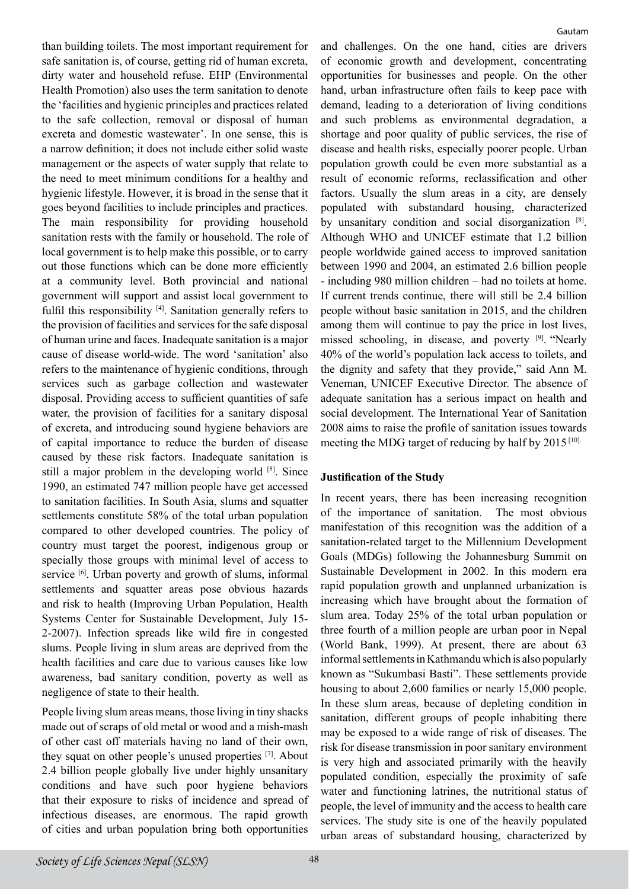than building toilets. The most important requirement for safe sanitation is, of course, getting rid of human excreta, dirty water and household refuse. EHP (Environmental Health Promotion) also uses the term sanitation to denote the 'facilities and hygienic principles and practices related to the safe collection, removal or disposal of human excreta and domestic wastewater'. In one sense, this is a narrow definition; it does not include either solid waste management or the aspects of water supply that relate to the need to meet minimum conditions for a healthy and hygienic lifestyle. However, it is broad in the sense that it goes beyond facilities to include principles and practices. The main responsibility for providing household sanitation rests with the family or household. The role of local government is to help make this possible, or to carry out those functions which can be done more efficiently at a community level. Both provincial and national government will support and assist local government to fulfil this responsibility [4]. Sanitation generally refers to the provision of facilities and services for the safe disposal of human urine and faces. Inadequate sanitation is a major cause of disease world-wide. The word 'sanitation' also refers to the maintenance of hygienic conditions, through services such as garbage collection and wastewater disposal. Providing access to sufficient quantities of safe water, the provision of facilities for a sanitary disposal of excreta, and introducing sound hygiene behaviors are of capital importance to reduce the burden of disease caused by these risk factors. Inadequate sanitation is still a major problem in the developing world [5]. Since 1990, an estimated 747 million people have get accessed to sanitation facilities. In South Asia, slums and squatter settlements constitute 58% of the total urban population compared to other developed countries. The policy of country must target the poorest, indigenous group or specially those groups with minimal level of access to service <sup>[6]</sup>. Urban poverty and growth of slums, informal settlements and squatter areas pose obvious hazards and risk to health (Improving Urban Population, Health Systems Center for Sustainable Development, July 15- 2-2007). Infection spreads like wild fire in congested slums. People living in slum areas are deprived from the health facilities and care due to various causes like low awareness, bad sanitary condition, poverty as well as negligence of state to their health.

People living slum areas means, those living in tiny shacks made out of scraps of old metal or wood and a mish-mash of other cast off materials having no land of their own, they squat on other people's unused properties [7]. About 2.4 billion people globally live under highly unsanitary conditions and have such poor hygiene behaviors that their exposure to risks of incidence and spread of infectious diseases, are enormous. The rapid growth of cities and urban population bring both opportunities

Gautam

and challenges. On the one hand, cities are drivers of economic growth and development, concentrating opportunities for businesses and people. On the other hand, urban infrastructure often fails to keep pace with demand, leading to a deterioration of living conditions and such problems as environmental degradation, a shortage and poor quality of public services, the rise of disease and health risks, especially poorer people. Urban population growth could be even more substantial as a result of economic reforms, reclassification and other factors. Usually the slum areas in a city, are densely populated with substandard housing, characterized by unsanitary condition and social disorganization [8]. Although WHO and UNICEF estimate that 1.2 billion people worldwide gained access to improved sanitation between 1990 and 2004, an estimated 2.6 billion people - including 980 million children – had no toilets at home. If current trends continue, there will still be 2.4 billion people without basic sanitation in 2015, and the children among them will continue to pay the price in lost lives, missed schooling, in disease, and poverty [9]. "Nearly 40% of the world's population lack access to toilets, and the dignity and safety that they provide," said Ann M. Veneman, UNICEF Executive Director. The absence of adequate sanitation has a serious impact on health and social development. The International Year of Sanitation 2008 aims to raise the profile of sanitation issues towards meeting the MDG target of reducing by half by 2015 [10].

## **Justification of the Study**

In recent years, there has been increasing recognition of the importance of sanitation. The most obvious manifestation of this recognition was the addition of a sanitation-related target to the Millennium Development Goals (MDGs) following the Johannesburg Summit on Sustainable Development in 2002. In this modern era rapid population growth and unplanned urbanization is increasing which have brought about the formation of slum area. Today 25% of the total urban population or three fourth of a million people are urban poor in Nepal (World Bank, 1999). At present, there are about 63 informal settlements in Kathmandu which is also popularly known as "Sukumbasi Basti". These settlements provide housing to about 2,600 families or nearly 15,000 people. In these slum areas, because of depleting condition in sanitation, different groups of people inhabiting there may be exposed to a wide range of risk of diseases. The risk for disease transmission in poor sanitary environment is very high and associated primarily with the heavily populated condition, especially the proximity of safe water and functioning latrines, the nutritional status of people, the level of immunity and the access to health care services. The study site is one of the heavily populated urban areas of substandard housing, characterized by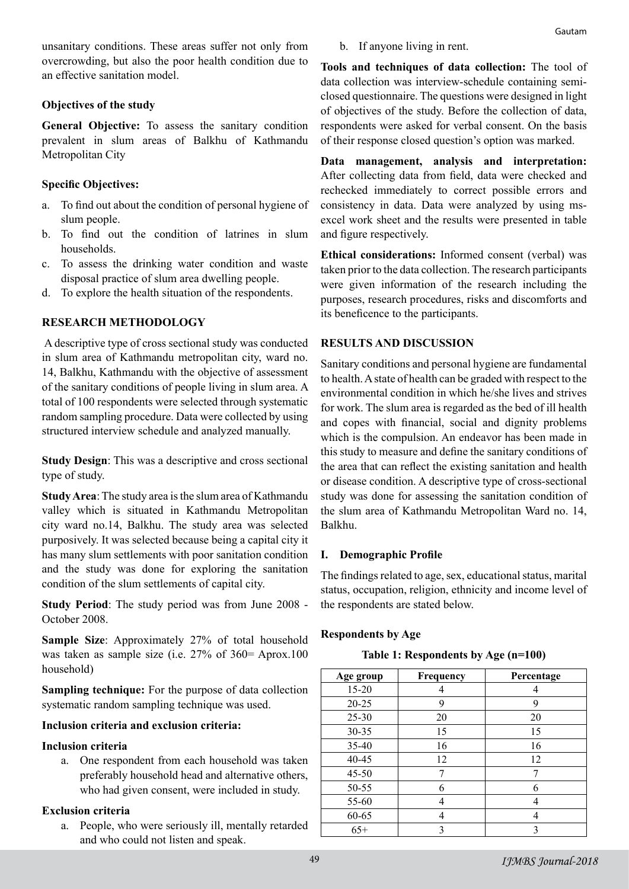unsanitary conditions. These areas suffer not only from overcrowding, but also the poor health condition due to an effective sanitation model.

# **Objectives of the study**

**General Objective:** To assess the sanitary condition prevalent in slum areas of Balkhu of Kathmandu Metropolitan City

# **Specific Objectives:**

- a. To find out about the condition of personal hygiene of slum people.
- b. To find out the condition of latrines in slum households.
- c. To assess the drinking water condition and waste disposal practice of slum area dwelling people.
- d. To explore the health situation of the respondents.

# **RESEARCH METHODOLOGY**

A descriptive type of cross sectional study was conducted in slum area of Kathmandu metropolitan city, ward no. 14, Balkhu, Kathmandu with the objective of assessment of the sanitary conditions of people living in slum area. A total of 100 respondents were selected through systematic random sampling procedure. Data were collected by using structured interview schedule and analyzed manually.

**Study Design**: This was a descriptive and cross sectional type of study.

**Study Area**: The study area is the slum area of Kathmandu valley which is situated in Kathmandu Metropolitan city ward no.14, Balkhu. The study area was selected purposively. It was selected because being a capital city it has many slum settlements with poor sanitation condition and the study was done for exploring the sanitation condition of the slum settlements of capital city.

**Study Period**: The study period was from June 2008 - October 2008.

**Sample Size**: Approximately 27% of total household was taken as sample size (i.e. 27% of 360= Aprox.100 household)

**Sampling technique:** For the purpose of data collection systematic random sampling technique was used.

# **Inclusion criteria and exclusion criteria:**

## **Inclusion criteria**

a. One respondent from each household was taken preferably household head and alternative others, who had given consent, were included in study.

## **Exclusion criteria**

a. People, who were seriously ill, mentally retarded and who could not listen and speak.

b. If anyone living in rent.

**Tools and techniques of data collection:** The tool of data collection was interview-schedule containing semiclosed questionnaire. The questions were designed in light of objectives of the study. Before the collection of data, respondents were asked for verbal consent. On the basis of their response closed question's option was marked.

**Data management, analysis and interpretation:**  After collecting data from field, data were checked and rechecked immediately to correct possible errors and consistency in data. Data were analyzed by using msexcel work sheet and the results were presented in table and figure respectively.

**Ethical considerations:** Informed consent (verbal) was taken prior to the data collection. The research participants were given information of the research including the purposes, research procedures, risks and discomforts and its beneficence to the participants.

# **RESULTS AND DISCUSSION**

Sanitary conditions and personal hygiene are fundamental to health. A state of health can be graded with respect to the environmental condition in which he/she lives and strives for work. The slum area is regarded as the bed of ill health and copes with financial, social and dignity problems which is the compulsion. An endeavor has been made in this study to measure and define the sanitary conditions of the area that can reflect the existing sanitation and health or disease condition. A descriptive type of cross-sectional study was done for assessing the sanitation condition of the slum area of Kathmandu Metropolitan Ward no. 14, Balkhu.

## **I. Demographic Profile**

The findings related to age, sex, educational status, marital status, occupation, religion, ethnicity and income level of the respondents are stated below.

# **Respondents by Age**

**Table 1: Respondents by Age (n=100)**

| Age group | Frequency | Percentage |
|-----------|-----------|------------|
| 15-20     |           |            |
| 20-25     | 9         | 9          |
| $25 - 30$ | 20        | 20         |
| 30-35     | 15        | 15         |
| 35-40     | 16        | 16         |
| 40-45     | 12        | 12         |
| $45 - 50$ |           |            |
| 50-55     | 6         | 6          |
| 55-60     |           | 4          |
| 60-65     |           | 4          |
| $65+$     |           |            |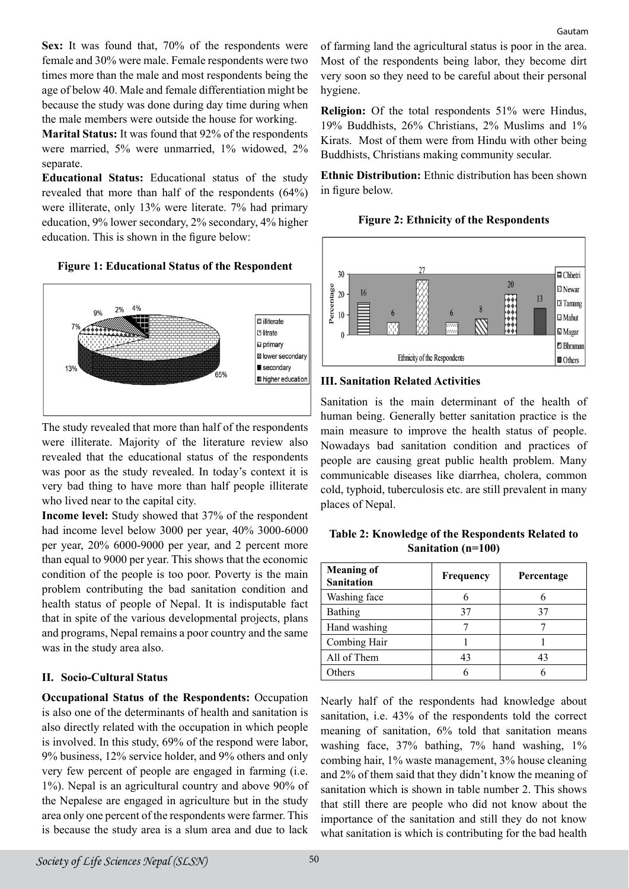Sex: It was found that, 70% of the respondents were female and 30% were male. Female respondents were two times more than the male and most respondents being the age of below 40. Male and female differentiation might be because the study was done during day time during when the male members were outside the house for working.

**Marital Status:** It was found that 92% of the respondents were married, 5% were unmarried, 1% widowed, 2% separate.

**Educational Status:** Educational status of the study revealed that more than half of the respondents (64%) were illiterate, only 13% were literate. 7% had primary education, 9% lower secondary, 2% secondary, 4% higher education. This is shown in the figure below:





The study revealed that more than half of the respondents were illiterate. Majority of the literature review also revealed that the educational status of the respondents was poor as the study revealed. In today's context it is very bad thing to have more than half people illiterate who lived near to the capital city.

**Income level:** Study showed that 37% of the respondent had income level below 3000 per year, 40% 3000-6000 per year, 20% 6000-9000 per year, and 2 percent more than equal to 9000 per year. This shows that the economic condition of the people is too poor. Poverty is the main problem contributing the bad sanitation condition and health status of people of Nepal. It is indisputable fact that in spite of the various developmental projects, plans and programs, Nepal remains a poor country and the same was in the study area also.

# **II. Socio-Cultural Status**

**Occupational Status of the Respondents:** Occupation is also one of the determinants of health and sanitation is also directly related with the occupation in which people is involved. In this study, 69% of the respond were labor, 9% business, 12% service holder, and 9% others and only very few percent of people are engaged in farming (i.e. 1%). Nepal is an agricultural country and above 90% of the Nepalese are engaged in agriculture but in the study area only one percent of the respondents were farmer. This is because the study area is a slum area and due to lack

of farming land the agricultural status is poor in the area. Most of the respondents being labor, they become dirt very soon so they need to be careful about their personal hygiene.

**Religion:** Of the total respondents 51% were Hindus, 19% Buddhists, 26% Christians, 2% Muslims and 1% Kirats. Most of them were from Hindu with other being Buddhists, Christians making community secular.

**Ethnic Distribution:** Ethnic distribution has been shown in figure below.

**Figure 2: Ethnicity of the Respondents**



## **III. Sanitation Related Activities**

Sanitation is the main determinant of the health of human being. Generally better sanitation practice is the main measure to improve the health status of people. Nowadays bad sanitation condition and practices of people are causing great public health problem. Many communicable diseases like diarrhea, cholera, common cold, typhoid, tuberculosis etc. are still prevalent in many places of Nepal.

**Table 2: Knowledge of the Respondents Related to Sanitation (n=100)**

| <b>Meaning of</b><br><b>Sanitation</b> | <b>Frequency</b> | Percentage |
|----------------------------------------|------------------|------------|
| Washing face                           | 6                |            |
| Bathing                                | 37               | 37         |
| Hand washing                           |                  |            |
| Combing Hair                           |                  |            |
| All of Them                            | 43               | 43         |
| thers                                  | 6                |            |

Nearly half of the respondents had knowledge about sanitation, i.e. 43% of the respondents told the correct meaning of sanitation, 6% told that sanitation means washing face, 37% bathing, 7% hand washing, 1% combing hair, 1% waste management, 3% house cleaning and 2% of them said that they didn't know the meaning of sanitation which is shown in table number 2. This shows that still there are people who did not know about the importance of the sanitation and still they do not know what sanitation is which is contributing for the bad health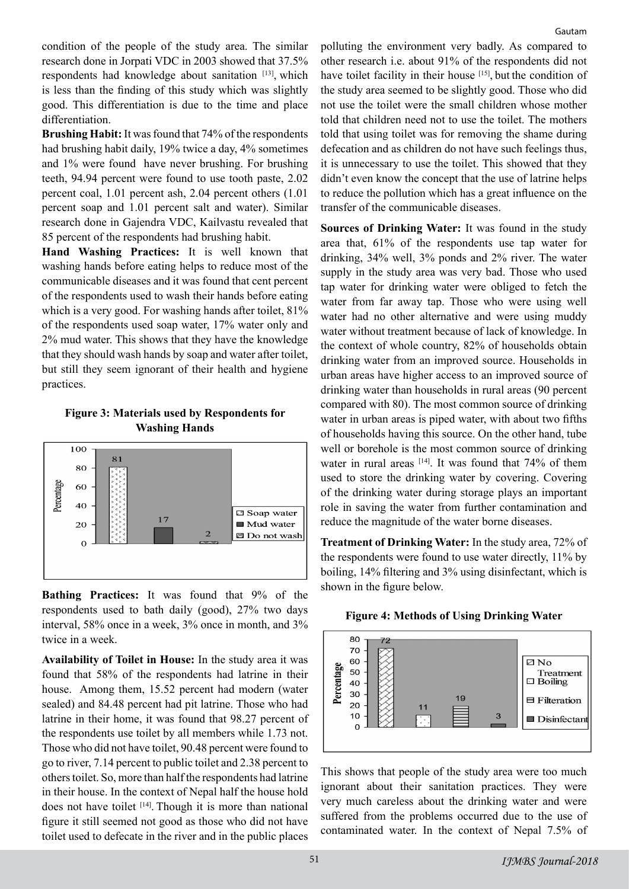condition of the people of the study area. The similar research done in Jorpati VDC in 2003 showed that 37.5% respondents had knowledge about sanitation [13], which is less than the finding of this study which was slightly good. This differentiation is due to the time and place differentiation.

**Brushing Habit:** It was found that 74% of the respondents had brushing habit daily, 19% twice a day, 4% sometimes and 1% were found have never brushing. For brushing teeth, 94.94 percent were found to use tooth paste, 2.02 percent coal, 1.01 percent ash, 2.04 percent others (1.01 percent soap and 1.01 percent salt and water). Similar research done in Gajendra VDC, Kailvastu revealed that 85 percent of the respondents had brushing habit.

**Hand Washing Practices:** It is well known that washing hands before eating helps to reduce most of the communicable diseases and it was found that cent percent of the respondents used to wash their hands before eating which is a very good. For washing hands after toilet, 81% of the respondents used soap water, 17% water only and 2% mud water. This shows that they have the knowledge that they should wash hands by soap and water after toilet, but still they seem ignorant of their health and hygiene practices.

#### **Figure 3: Materials used by Respondents for Washing Hands**



**Bathing Practices:** It was found that 9% of the respondents used to bath daily (good), 27% two days interval, 58% once in a week, 3% once in month, and 3% twice in a week.

**Availability of Toilet in House:** In the study area it was found that 58% of the respondents had latrine in their house. Among them, 15.52 percent had modern (water sealed) and 84.48 percent had pit latrine. Those who had latrine in their home, it was found that 98.27 percent of the respondents use toilet by all members while 1.73 not. Those who did not have toilet, 90.48 percent were found to go to river, 7.14 percent to public toilet and 2.38 percent to others toilet. So, more than half the respondents had latrine in their house. In the context of Nepal half the house hold does not have toilet  $[14]$ . Though it is more than national figure it still seemed not good as those who did not have toilet used to defecate in the river and in the public places

polluting the environment very badly. As compared to other research i.e. about 91% of the respondents did not have toilet facility in their house [15], but the condition of the study area seemed to be slightly good. Those who did not use the toilet were the small children whose mother told that children need not to use the toilet. The mothers told that using toilet was for removing the shame during defecation and as children do not have such feelings thus, it is unnecessary to use the toilet. This showed that they didn't even know the concept that the use of latrine helps to reduce the pollution which has a great influence on the transfer of the communicable diseases.

**Sources of Drinking Water:** It was found in the study area that, 61% of the respondents use tap water for drinking, 34% well, 3% ponds and 2% river. The water supply in the study area was very bad. Those who used tap water for drinking water were obliged to fetch the water from far away tap. Those who were using well water had no other alternative and were using muddy water without treatment because of lack of knowledge. In the context of whole country, 82% of households obtain drinking water from an improved source. Households in urban areas have higher access to an improved source of drinking water than households in rural areas (90 percent compared with 80). The most common source of drinking water in urban areas is piped water, with about two fifths of households having this source. On the other hand, tube well or borehole is the most common source of drinking water in rural areas  $[14]$ . It was found that 74% of them used to store the drinking water by covering. Covering of the drinking water during storage plays an important role in saving the water from further contamination and reduce the magnitude of the water borne diseases.

**Treatment of Drinking Water:** In the study area, 72% of the respondents were found to use water directly, 11% by boiling, 14% filtering and 3% using disinfectant, which is shown in the figure below.



**Figure 4: Methods of Using Drinking Water**



This shows that people of the study area were too much ignorant about their sanitation practices. They were very much careless about the drinking water and were suffered from the problems occurred due to the use of contaminated water. In the context of Nepal 7.5% of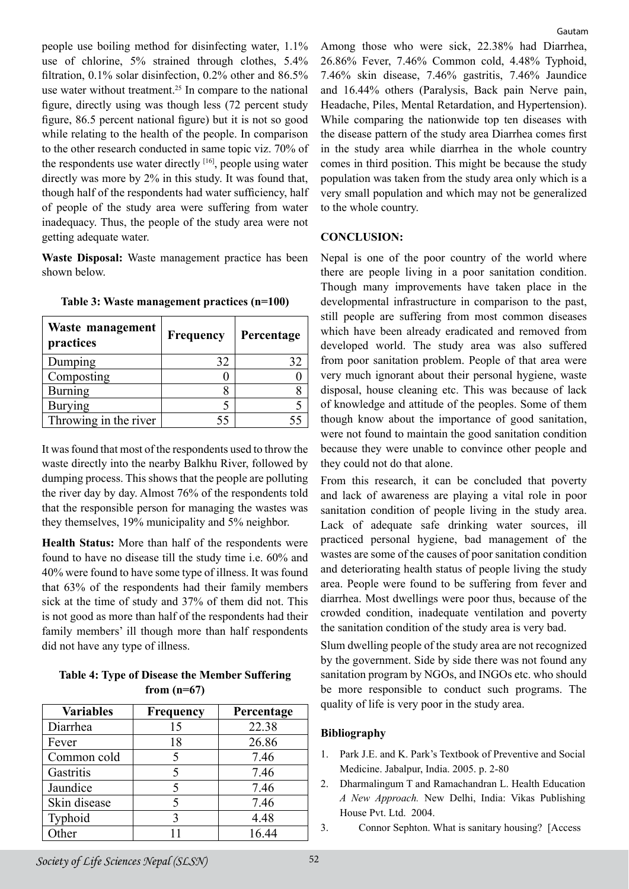people use boiling method for disinfecting water, 1.1% use of chlorine, 5% strained through clothes, 5.4% filtration, 0.1% solar disinfection, 0.2% other and 86.5% use water without treatment.<sup>25</sup> In compare to the national figure, directly using was though less (72 percent study figure, 86.5 percent national figure) but it is not so good while relating to the health of the people. In comparison to the other research conducted in same topic viz. 70% of the respondents use water directly  $[16]$ , people using water directly was more by 2% in this study. It was found that, though half of the respondents had water sufficiency, half of people of the study area were suffering from water inadequacy. Thus, the people of the study area were not getting adequate water.

**Waste Disposal:** Waste management practice has been shown below.

| Waste management<br>practices | <b>Frequency</b> | Percentage |
|-------------------------------|------------------|------------|
| Dumping                       | 32               | 32         |
| Composting                    |                  |            |
| <b>Burning</b>                |                  |            |
| <b>Burying</b>                |                  |            |
| Throwing in the river         |                  |            |

**Table 3: Waste management practices (n=100)**

It was found that most of the respondents used to throw the waste directly into the nearby Balkhu River, followed by dumping process. This shows that the people are polluting the river day by day. Almost 76% of the respondents told that the responsible person for managing the wastes was they themselves, 19% municipality and 5% neighbor.

**Health Status:** More than half of the respondents were found to have no disease till the study time i.e. 60% and 40% were found to have some type of illness. It was found that 63% of the respondents had their family members sick at the time of study and 37% of them did not. This is not good as more than half of the respondents had their family members' ill though more than half respondents did not have any type of illness.

#### **Table 4: Type of Disease the Member Suffering from (n=67)**

| <b>Variables</b> | <b>Frequency</b> | Percentage |
|------------------|------------------|------------|
| Diarrhea         | 15               | 22.38      |
| Fever            | 18               | 26.86      |
| Common cold      |                  | 7.46       |
| Gastritis        |                  | 7.46       |
| Jaundice         |                  | 7.46       |
| Skin disease     |                  | 7.46       |
| Typhoid          |                  | 4.48       |
| $\bar{O}$ ther   |                  | 16.44      |

Among those who were sick, 22.38% had Diarrhea, 26.86% Fever, 7.46% Common cold, 4.48% Typhoid, 7.46% skin disease, 7.46% gastritis, 7.46% Jaundice and 16.44% others (Paralysis, Back pain Nerve pain, Headache, Piles, Mental Retardation, and Hypertension). While comparing the nationwide top ten diseases with the disease pattern of the study area Diarrhea comes first in the study area while diarrhea in the whole country comes in third position. This might be because the study population was taken from the study area only which is a very small population and which may not be generalized to the whole country.

## **CONCLUSION:**

Nepal is one of the poor country of the world where there are people living in a poor sanitation condition. Though many improvements have taken place in the developmental infrastructure in comparison to the past, still people are suffering from most common diseases which have been already eradicated and removed from developed world. The study area was also suffered from poor sanitation problem. People of that area were very much ignorant about their personal hygiene, waste disposal, house cleaning etc. This was because of lack of knowledge and attitude of the peoples. Some of them though know about the importance of good sanitation, were not found to maintain the good sanitation condition because they were unable to convince other people and they could not do that alone.

From this research, it can be concluded that poverty and lack of awareness are playing a vital role in poor sanitation condition of people living in the study area. Lack of adequate safe drinking water sources, ill practiced personal hygiene, bad management of the wastes are some of the causes of poor sanitation condition and deteriorating health status of people living the study area. People were found to be suffering from fever and diarrhea. Most dwellings were poor thus, because of the crowded condition, inadequate ventilation and poverty the sanitation condition of the study area is very bad.

Slum dwelling people of the study area are not recognized by the government. Side by side there was not found any sanitation program by NGOs, and INGOs etc. who should be more responsible to conduct such programs. The quality of life is very poor in the study area.

# **Bibliography**

- 1. Park J.E. and K. Park's Textbook of Preventive and Social Medicine. Jabalpur, India. 2005. p. 2-80
- 2. Dharmalingum T and Ramachandran L. Health Education *A New Approach.* New Delhi, India: Vikas Publishing House Pvt. Ltd. 2004.
- 3. Connor Sephton. What is sanitary housing? [Access